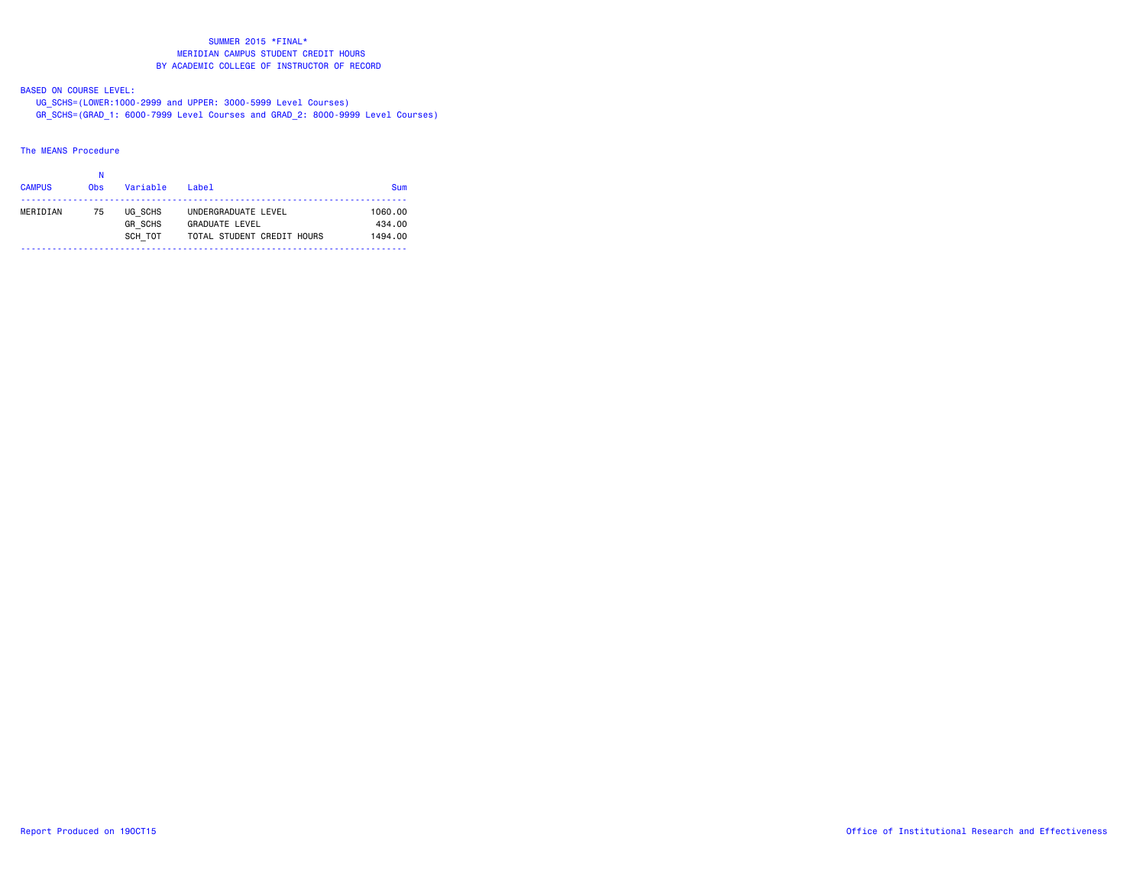BASED ON COURSE LEVEL:

UG\_SCHS=(LOWER:1000-2999 and UPPER: 3000-5999 Level Courses)

GR\_SCHS=(GRAD\_1: 6000-7999 Level Courses and GRAD\_2: 8000-9999 Level Courses)

## The MEANS Procedure

|               | Ν               |                |                            |            |
|---------------|-----------------|----------------|----------------------------|------------|
| <b>CAMPUS</b> | 0 <sub>bs</sub> | Variable       | $I$ ahel                   | <b>Sum</b> |
|               |                 |                |                            |            |
| MERIDIAN      | 75              | UG SCHS        | UNDERGRADUATE LEVEL        | 1060.00    |
|               |                 | <b>GR SCHS</b> | <b>GRADUATE LEVEL</b>      | 434.00     |
|               |                 | SCH TOT        | TOTAL STUDENT CREDIT HOURS | 1494.00    |
|               |                 |                |                            |            |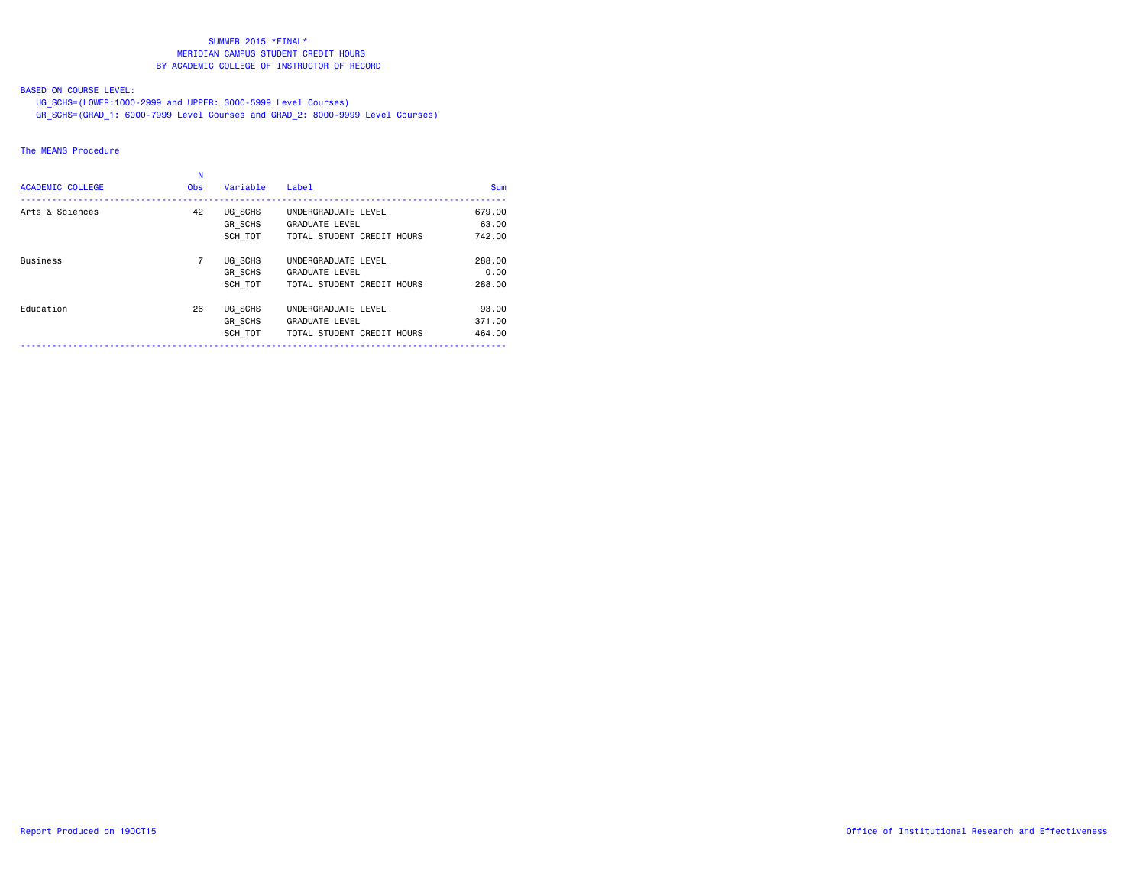# BASED ON COURSE LEVEL:

UG\_SCHS=(LOWER:1000-2999 and UPPER: 3000-5999 Level Courses)

GR\_SCHS=(GRAD\_1: 6000-7999 Level Courses and GRAD\_2: 8000-9999 Level Courses)

# The MEANS Procedure

| <b>ACADEMIC COLLEGE</b> | <b>Obs</b>     | Variable                      | Label                                                                      | <b>Sum</b>                |
|-------------------------|----------------|-------------------------------|----------------------------------------------------------------------------|---------------------------|
| Arts & Sciences         | 42             | UG SCHS<br>GR SCHS<br>SCH TOT | UNDERGRADUATE LEVEL<br><b>GRADUATE LEVEL</b><br>TOTAL STUDENT CREDIT HOURS | 679.00<br>63.00<br>742.00 |
| <b>Business</b>         | $\overline{7}$ | UG SCHS<br>GR SCHS<br>SCH TOT | UNDERGRADUATE LEVEL<br><b>GRADUATE LEVEL</b><br>TOTAL STUDENT CREDIT HOURS | 288,00<br>0.00<br>288,00  |
| Education               | 26             | UG SCHS<br>GR SCHS<br>SCH TOT | UNDERGRADUATE LEVEL<br><b>GRADUATE LEVEL</b><br>TOTAL STUDENT CREDIT HOURS | 93.00<br>371.00<br>464.00 |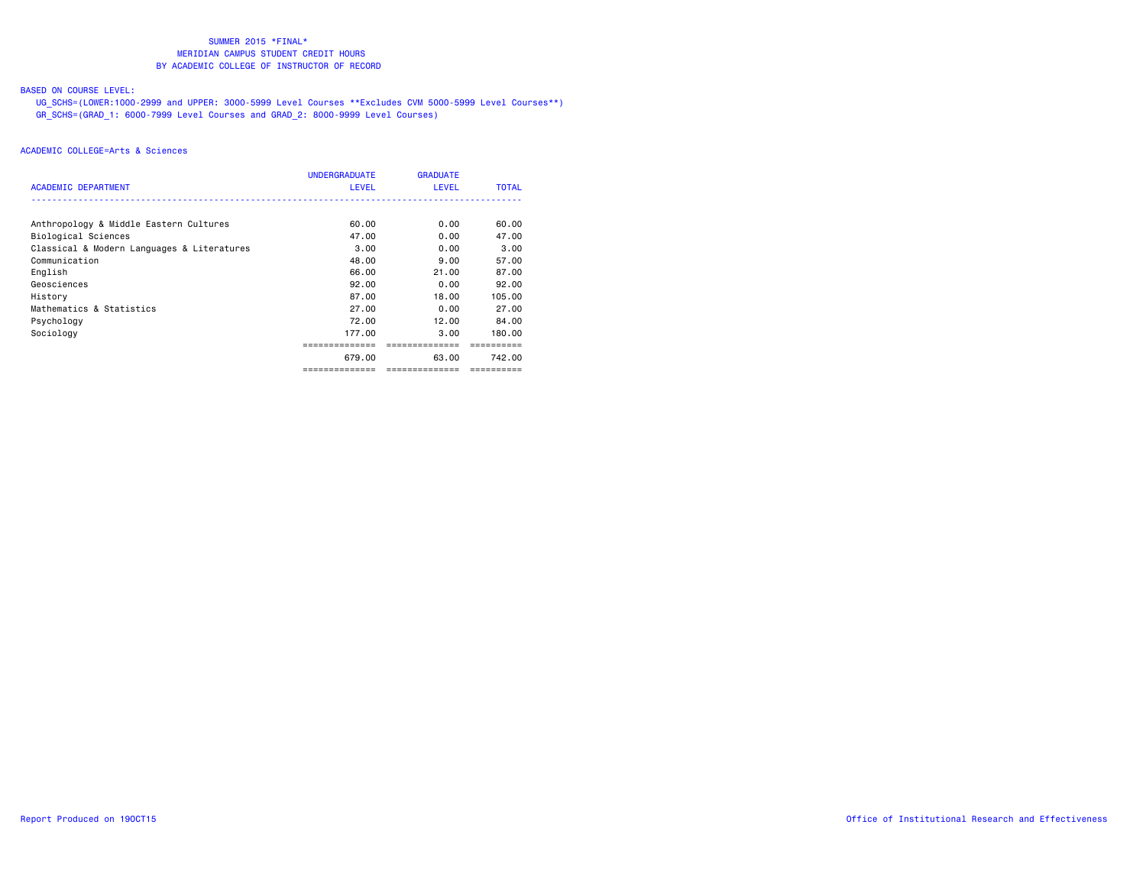## BASED ON COURSE LEVEL:

 UG\_SCHS=(LOWER:1000-2999 and UPPER: 3000-5999 Level Courses \*\*Excludes CVM 5000-5999 Level Courses\*\*) GR\_SCHS=(GRAD\_1: 6000-7999 Level Courses and GRAD\_2: 8000-9999 Level Courses)

| ACADEMIC DEPARTMENT                        | <b>UNDERGRADUATE</b><br>LEVEL | <b>GRADUATE</b><br><b>LEVEL</b> | <b>TOTAL</b> |
|--------------------------------------------|-------------------------------|---------------------------------|--------------|
|                                            |                               |                                 |              |
| Anthropology & Middle Eastern Cultures     | 60.00                         | 0.00                            | 60.00        |
| Biological Sciences                        | 47.00                         | 0.00                            | 47.00        |
| Classical & Modern Languages & Literatures | 3.00                          | 0.00                            | 3,00         |
| Communication                              | 48.00                         | 9.00                            | 57.00        |
| English                                    | 66.00                         | 21.00                           | 87.00        |
| Geosciences                                | 92.00                         | 0.00                            | 92.00        |
| History                                    | 87.00                         | 18.00                           | 105.00       |
| Mathematics & Statistics                   | 27.00                         | 0.00                            | 27.00        |
| Psychology                                 | 72.00                         | 12.00                           | 84.00        |
| Sociology                                  | 177.00                        | 3.00                            | 180.00       |
|                                            |                               |                                 |              |
|                                            | 679.00                        | 63.00                           | 742.00       |
|                                            | ==============                | ==============                  | ---------    |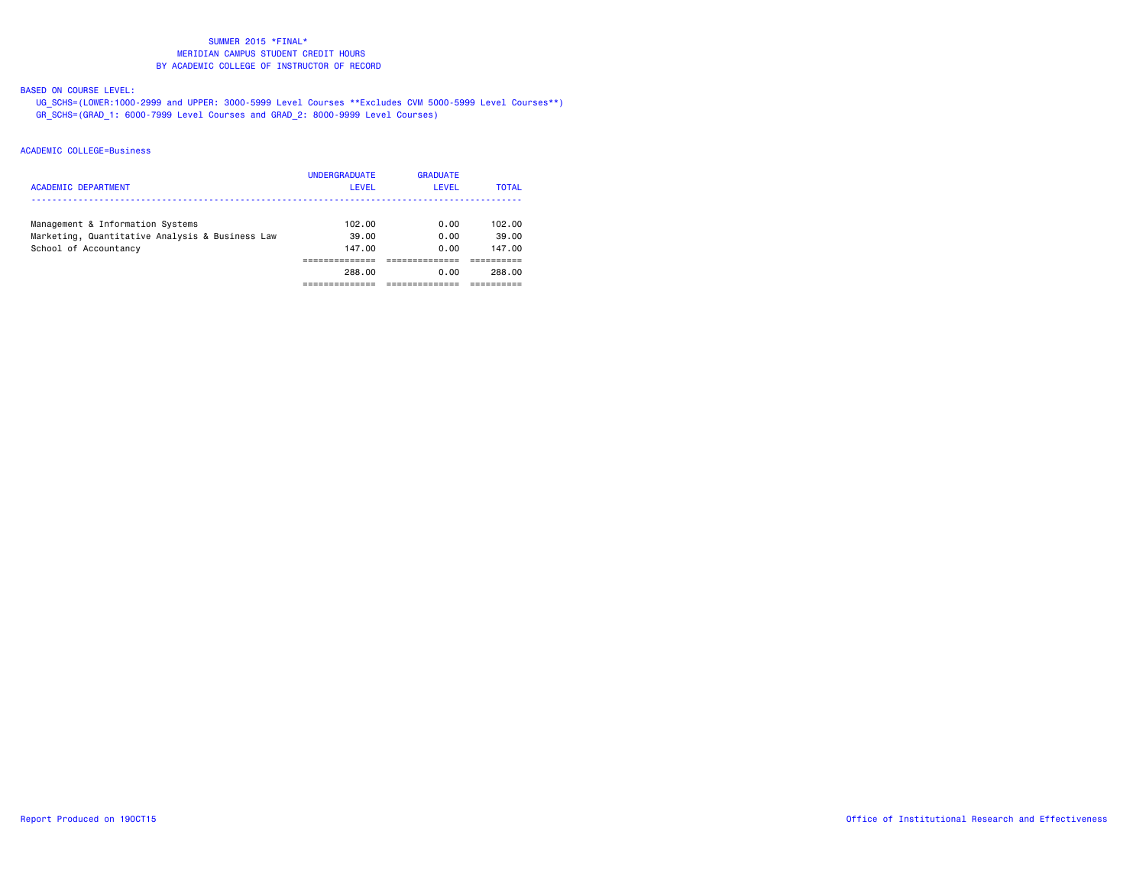## BASED ON COURSE LEVEL:

 UG\_SCHS=(LOWER:1000-2999 and UPPER: 3000-5999 Level Courses \*\*Excludes CVM 5000-5999 Level Courses\*\*) GR\_SCHS=(GRAD\_1: 6000-7999 Level Courses and GRAD\_2: 8000-9999 Level Courses)

| ACADEMIC DEPARTMENT                                                                                          | <b>UNDERGRADUATE</b><br>LEVEL | <b>GRADUATE</b><br>LEVEL | <b>TOTAL</b>              |
|--------------------------------------------------------------------------------------------------------------|-------------------------------|--------------------------|---------------------------|
| Management & Information Systems<br>Marketing, Quantitative Analysis & Business Law<br>School of Accountancy | 102.00<br>39.00<br>147.00     | 0.00<br>0.00<br>0.00     | 102.00<br>39.00<br>147.00 |
|                                                                                                              | 288.00                        | 0.00                     | 288.00                    |
|                                                                                                              |                               |                          |                           |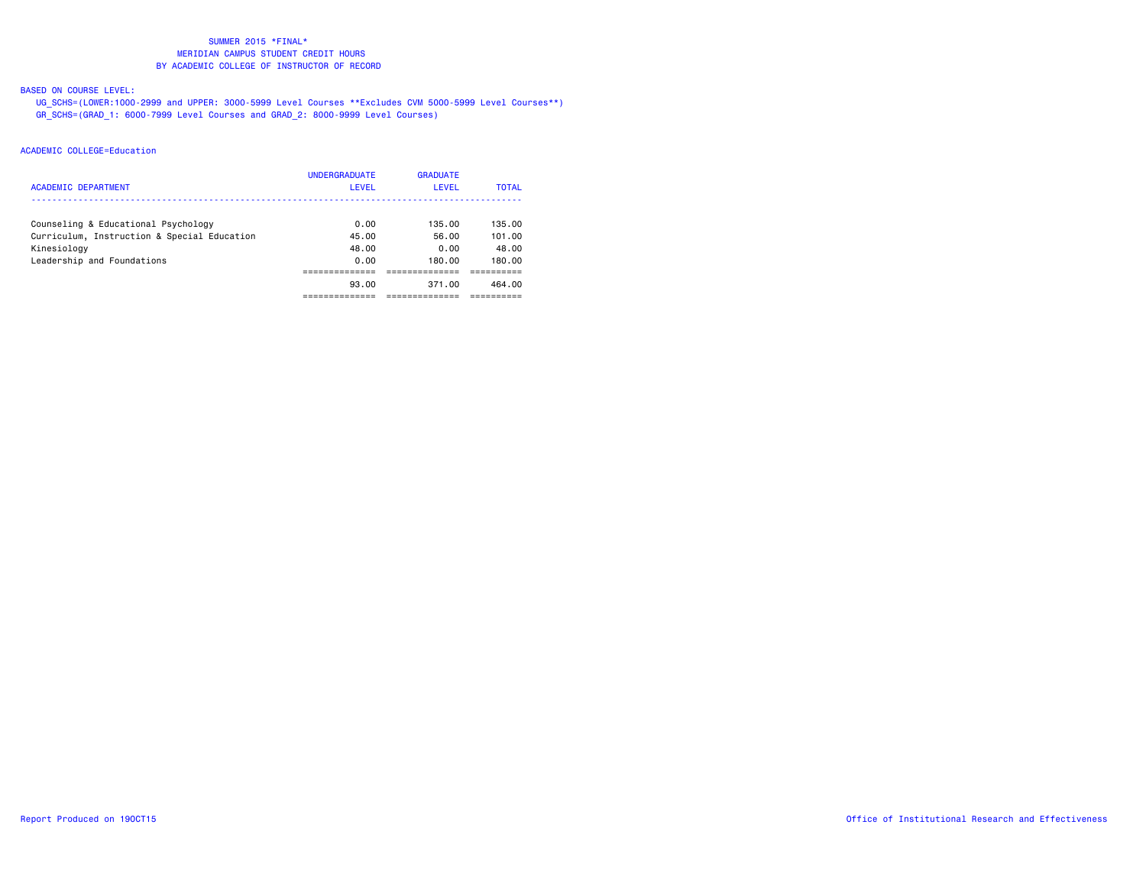## BASED ON COURSE LEVEL:

 UG\_SCHS=(LOWER:1000-2999 and UPPER: 3000-5999 Level Courses \*\*Excludes CVM 5000-5999 Level Courses\*\*) GR\_SCHS=(GRAD\_1: 6000-7999 Level Courses and GRAD\_2: 8000-9999 Level Courses)

| <b>ACADEMIC DEPARTMENT</b>                  | <b>UNDERGRADUATE</b><br>LEVEL | <b>GRADUATE</b><br>LEVEL | <b>TOTAL</b> |
|---------------------------------------------|-------------------------------|--------------------------|--------------|
| Counseling & Educational Psychology         | 0.00                          | 135.00                   | 135.00       |
| Curriculum, Instruction & Special Education | 45.00                         | 56.00                    | 101.00       |
| Kinesiology                                 | 48.00                         | 0.00                     | 48.00        |
| Leadership and Foundations                  | 0.00                          | 180.00                   | 180.00       |
|                                             |                               |                          |              |
|                                             | 93.00                         | 371.00                   | 464.00       |
|                                             |                               |                          |              |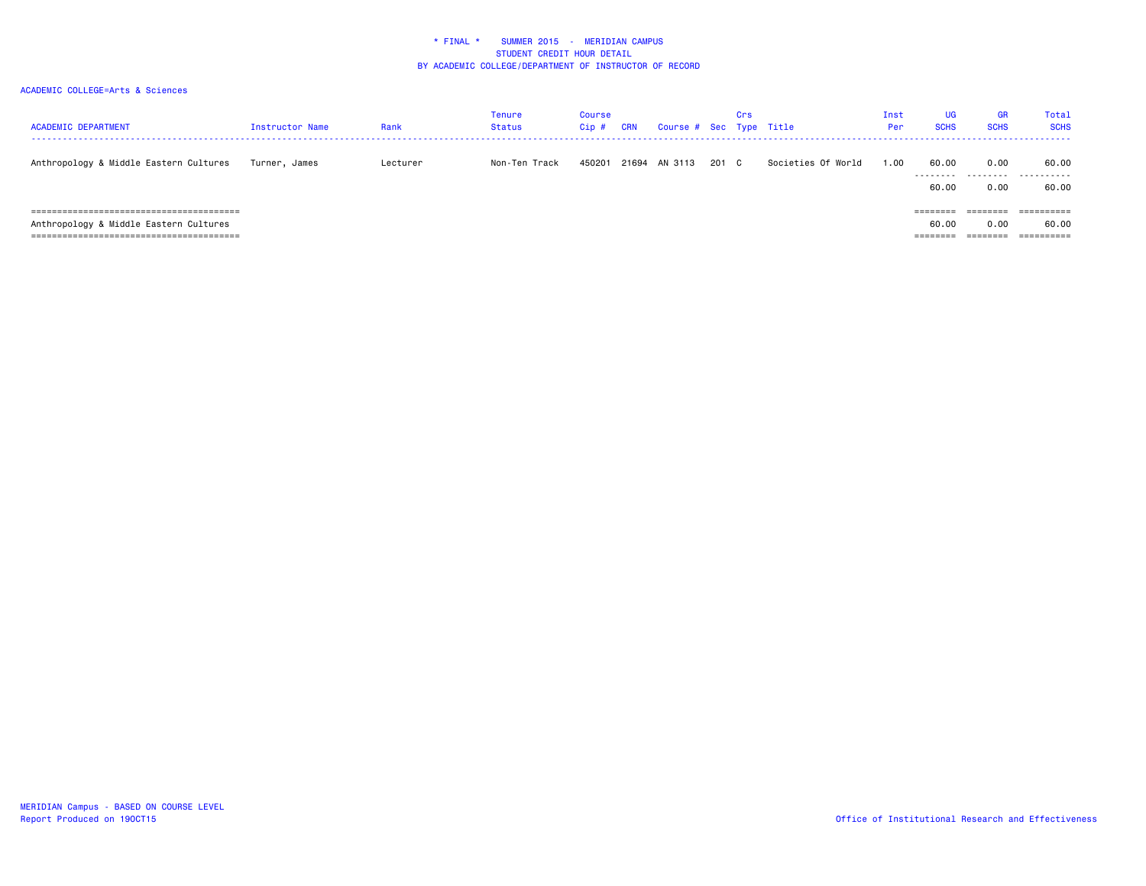| <b>ACADEMIC DEPARTMENT</b>             | Instructor Name | Rank     | Tenure<br>Status | Course<br>$C$ ip $#$ | <b>CRN</b> | Course # Sec Type Title |       | Crs |                    | Inst<br>Per | UG<br><b>SCHS</b>  | <b>GR</b><br><b>SCHS</b> | Total<br><b>SCHS</b>    |
|----------------------------------------|-----------------|----------|------------------|----------------------|------------|-------------------------|-------|-----|--------------------|-------------|--------------------|--------------------------|-------------------------|
| Anthropology & Middle Eastern Cultures | Turner, James   | Lecturer | Non-Ten Track    | 450201               | 21694      | AN 3113                 | 201 C |     | Societies Of World | 1.00        | 60.00<br>--------- | 0.00                     | 60.00<br>. <b>.</b>     |
|                                        |                 |          |                  |                      |            |                         |       |     |                    |             | 60.00              | .<br>0.00                | 60.00                   |
|                                        |                 |          |                  |                      |            |                         |       |     |                    |             | --------           | -------                  | ----------<br>========= |
| Anthropology & Middle Eastern Cultures |                 |          |                  |                      |            |                         |       |     |                    |             | 60.00              | 0.00                     | 60.00                   |
|                                        |                 |          |                  |                      |            |                         |       |     |                    |             | ========           | ========                 | ==========              |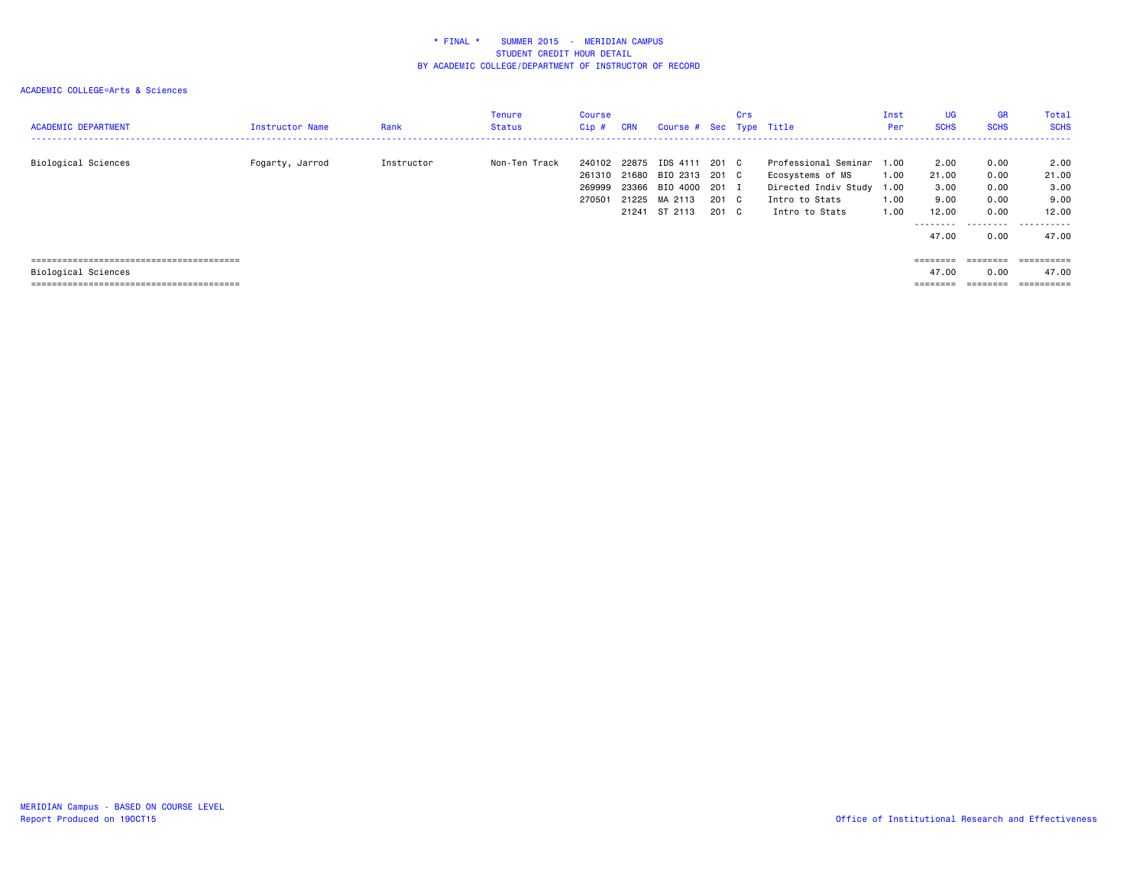| <b>ACADEMIC DEPARTMENT</b> | Instructor Name | Rank       | Tenure<br><b>Status</b> | Course<br>Cip#                       | <b>CRN</b>                       | Course # Sec Type Title                                            |                                  | Crs |                                                                                                                | Inst<br>Per          | <b>UG</b><br><b>SCHS</b>                            | <b>GR</b><br><b>SCHS</b>                         | Total<br><b>SCHS</b><br>-----------------   |
|----------------------------|-----------------|------------|-------------------------|--------------------------------------|----------------------------------|--------------------------------------------------------------------|----------------------------------|-----|----------------------------------------------------------------------------------------------------------------|----------------------|-----------------------------------------------------|--------------------------------------------------|---------------------------------------------|
| Biological Sciences        | Fogarty, Jarrod | Instructor | Non-Ten Track           | 240102<br>261310<br>269999<br>270501 | 22875<br>21680<br>23366<br>21225 | IDS 4111<br>BIO 2313 201 C<br>BIO 4000<br>MA 2113<br>21241 ST 2113 | 201 C<br>201 I<br>201 C<br>201 C |     | Professional Seminar 1.00<br>Ecosystems of MS<br>Directed Indiv Study 1.00<br>Intro to Stats<br>Intro to Stats | 1.00<br>1.00<br>1.00 | 2.00<br>21.00<br>3.00<br>9.00<br>12.00<br>--------- | 0.00<br>0.00<br>0.00<br>0.00<br>0.00<br>.        | 2.00<br>21.00<br>3,00<br>9.00<br>12.00<br>. |
| Biological Sciences        |                 |            |                         |                                      |                                  |                                                                    |                                  |     |                                                                                                                |                      | 47.00<br>========<br>47.00<br>$=$ = = = = = = =     | 0.00<br>========<br>0.00<br>--------<br>-------- | 47.00<br>47.00<br>-----------<br>=========  |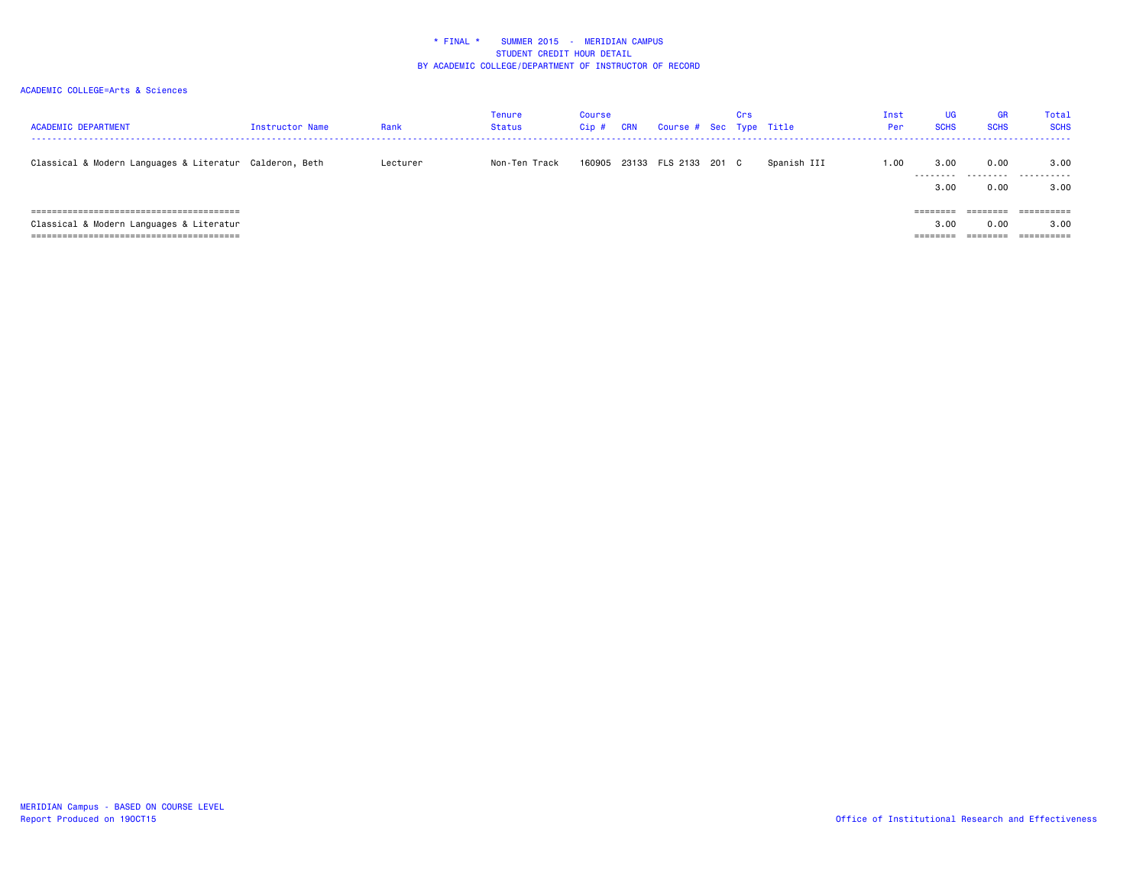| <b>ACADEMIC DEPARTMENT</b>                              | Instructor Name | Rank     | <b>Tenure</b><br>Status | <b>Course</b><br>Cip# | <b>CRN</b> | Course # Sec Type Title | Crs |             | Inst<br>Per | UG<br><b>SCHS</b> | <b>GR</b><br><b>SCHS</b> | <b>Total</b><br><b>SCHS</b> |
|---------------------------------------------------------|-----------------|----------|-------------------------|-----------------------|------------|-------------------------|-----|-------------|-------------|-------------------|--------------------------|-----------------------------|
| Classical & Modern Languages & Literatur Calderon, Beth |                 | Lecturer | Non-Ten Track           | 160905                |            | 23133 FLS 2133 201 C    |     | Spanish III | 1.00        | 3.00              | 0.00                     | 3.00                        |
|                                                         |                 |          |                         |                       |            |                         |     |             |             | ---------<br>3.00 | .<br>0.00                | . <b>.</b><br>3.00          |
|                                                         |                 |          |                         |                       |            |                         |     |             |             | --------          | -------                  | _________<br>--------       |
| Classical & Modern Languages & Literatur                |                 |          |                         |                       |            |                         |     |             |             | 3.00              | 0.00                     | 3.00                        |
|                                                         |                 |          |                         |                       |            |                         |     |             |             | ========          | ========                 | ==========                  |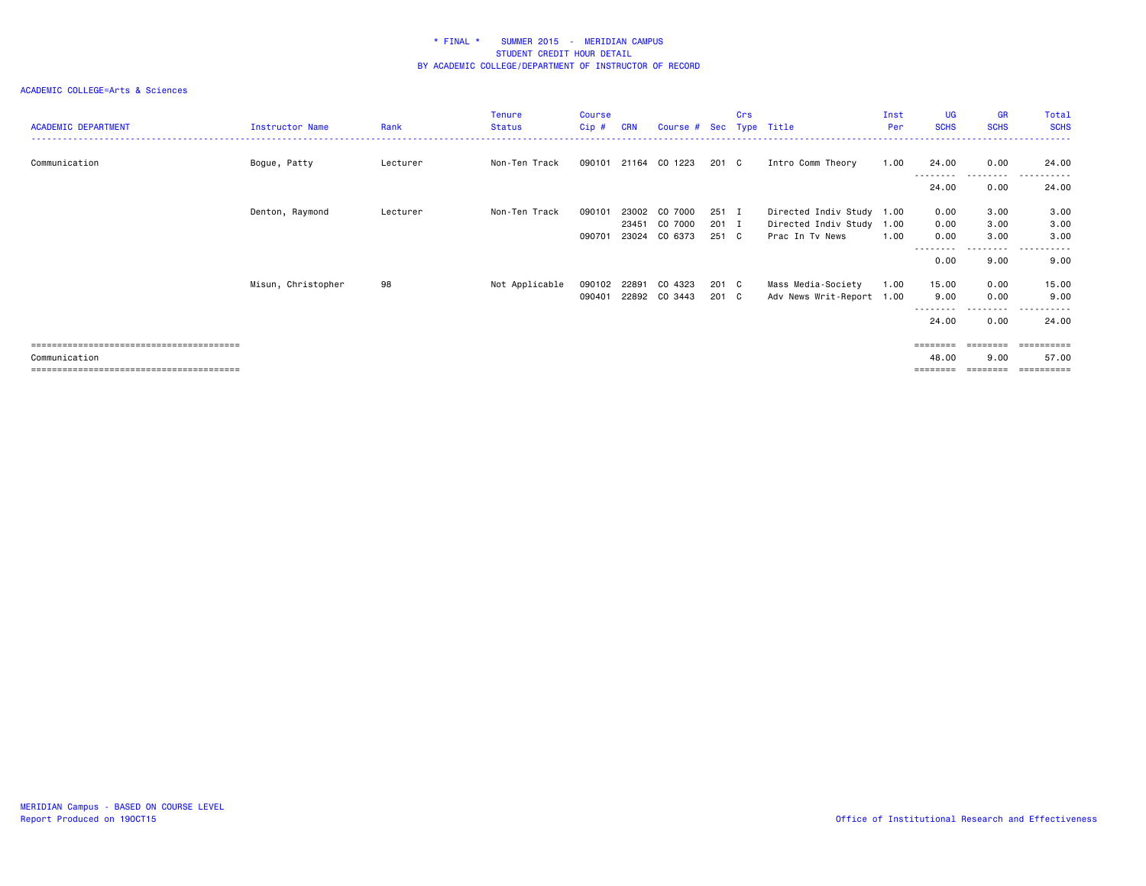|                            |                    |          | Tenure         | <b>Course</b> |            |                         |       | Crs |                           | Inst | <b>UG</b>         | <b>GR</b>            | Total                            |
|----------------------------|--------------------|----------|----------------|---------------|------------|-------------------------|-------|-----|---------------------------|------|-------------------|----------------------|----------------------------------|
| <b>ACADEMIC DEPARTMENT</b> | Instructor Name    | Rank     | Status         | $Cip$ #       | <b>CRN</b> | Course # Sec Type Title |       |     |                           | Per  | <b>SCHS</b>       | <b>SCHS</b>          | <b>SCHS</b><br><u>----------</u> |
|                            |                    |          |                |               |            |                         |       |     |                           |      |                   |                      |                                  |
| Communication              | Bogue, Patty       | Lecturer | Non-Ten Track  |               |            | 090101 21164 CO 1223    | 201 C |     | Intro Comm Theory         | 1.00 | 24.00             | 0.00<br><u>.</u>     | 24.00                            |
|                            |                    |          |                |               |            |                         |       |     |                           |      | 24.00             | 0.00                 | 24.00                            |
|                            | Denton, Raymond    | Lecturer | Non-Ten Track  | 090101        | 23002      | CO 7000                 | 251 I |     | Directed Indiv Study 1.00 |      | 0.00              | 3.00                 | 3.00                             |
|                            |                    |          |                |               |            | 23451 CO 7000           | 201 I |     | Directed Indiv Study 1.00 |      | 0.00              | 3.00                 | 3.00                             |
|                            |                    |          |                | 090701        |            | 23024 CO 6373           | 251 C |     | Prac In Tv News           | 1.00 | 0.00              | 3.00                 | 3.00                             |
|                            |                    |          |                |               |            |                         |       |     |                           |      | --------<br>0.00  | ---------<br>9.00    | .<br>------<br>9.00              |
|                            | Misun, Christopher | 98       | Not Applicable | 090102        | 22891      | CO 4323                 | 201 C |     | Mass Media-Society        | 1.00 | 15.00             | 0.00                 | 15.00                            |
|                            |                    |          |                | 090401        |            | 22892 CO 3443           | 201 C |     | Adv News Writ-Report 1.00 |      | 9.00              | 0.00                 | 9.00                             |
|                            |                    |          |                |               |            |                         |       |     |                           |      | --------<br>24.00 | . <b>.</b> .<br>0.00 | .<br>------<br>24.00             |
|                            |                    |          |                |               |            |                         |       |     |                           |      | ========          |                      | ==========                       |
| Communication              |                    |          |                |               |            |                         |       |     |                           |      | 48.00             | 9.00                 | 57.00                            |
|                            |                    |          |                |               |            |                         |       |     |                           |      |                   |                      | ==========                       |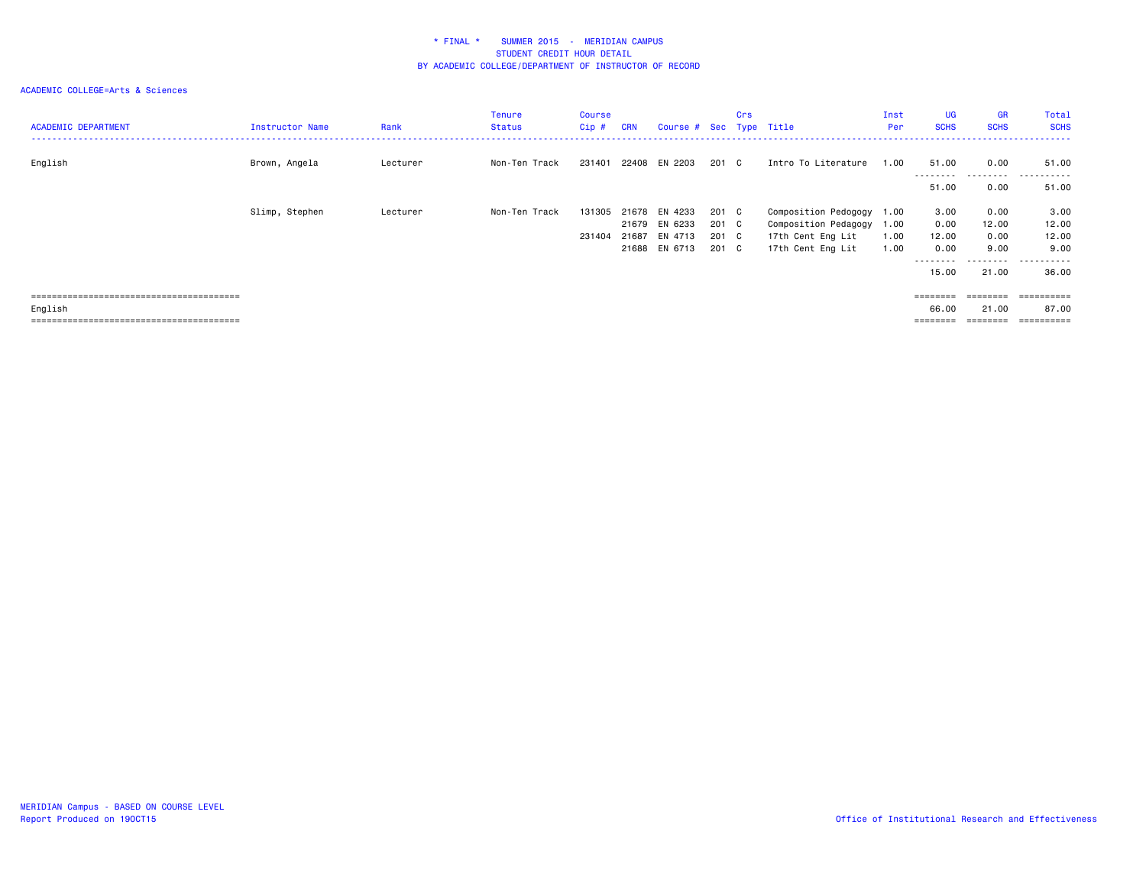| <b>ACADEMIC DEPARTMENT</b> | Instructor Name | Rank     | Tenure<br><b>Status</b> | Course<br>Cip# | <b>CRN</b> | Course # Sec Type Title |       | Crs |                           | Inst<br>Per | UG<br><b>SCHS</b> | <b>GR</b><br><b>SCHS</b> | Total<br><b>SCHS</b> |
|----------------------------|-----------------|----------|-------------------------|----------------|------------|-------------------------|-------|-----|---------------------------|-------------|-------------------|--------------------------|----------------------|
| English                    | Brown, Angela   | Lecturer | Non-Ten Track           | 231401         |            | 22408 EN 2203           | 201 C |     | Intro To Literature       | 1.00        | 51.00             | 0.00                     | 51.00                |
|                            |                 |          |                         |                |            |                         |       |     |                           |             | 51.00             | 0.00                     | 51.00                |
|                            | Slimp, Stephen  | Lecturer | Non-Ten Track           | 131305         |            | 21678 EN 4233           | 201 C |     | Composition Pedogogy 1.00 |             | 3.00              | 0.00                     | 3.00                 |
|                            |                 |          |                         |                |            | 21679 EN 6233           | 201 C |     | Composition Pedagogy 1.00 |             | 0.00              | 12.00                    | 12.00                |
|                            |                 |          |                         | 231404         |            | 21687 EN 4713           | 201 C |     | 17th Cent Eng Lit         | 1.00        | 12.00             | 0.00                     | 12.00                |
|                            |                 |          |                         |                |            | 21688 EN 6713           | 201 C |     | 17th Cent Eng Lit         | 1.00        | 0.00              | 9.00                     | 9.00                 |
|                            |                 |          |                         |                |            |                         |       |     |                           |             |                   |                          | - - - - - - <b>-</b> |
|                            |                 |          |                         |                |            |                         |       |     |                           |             | 15.00             | 21.00                    | 36.00                |
|                            |                 |          |                         |                |            |                         |       |     |                           |             | $=$ = = = = = = = |                          | ==========           |
| English                    |                 |          |                         |                |            |                         |       |     |                           |             | 66.00             | 21.00                    | 87.00                |
|                            |                 |          |                         |                |            |                         |       |     |                           |             | ========          | ========                 | ==========           |
|                            |                 |          |                         |                |            |                         |       |     |                           |             |                   |                          |                      |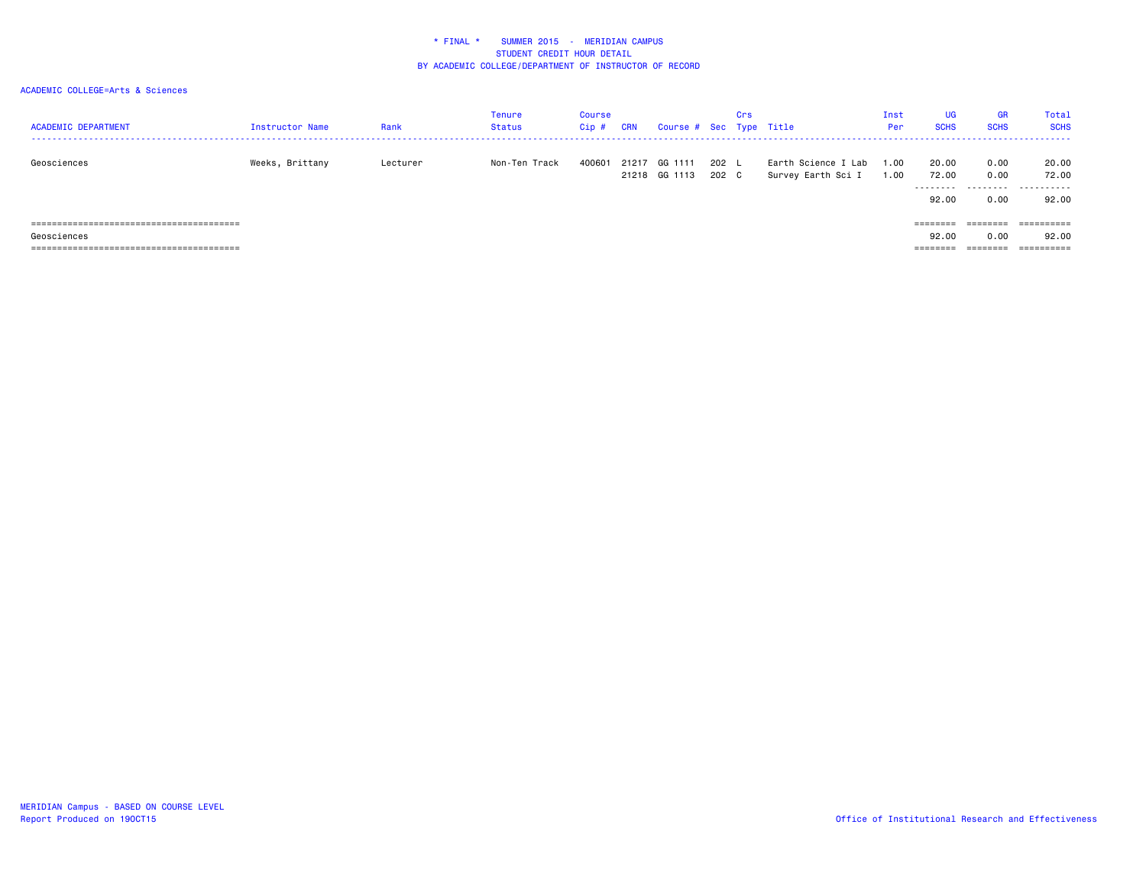| <b>ACADEMIC DEPARTMENT</b> | Instructor Name | Rank     | Tenure<br>Status | <b>Course</b><br>Cip # | <b>CRN</b> | Course # Sec Type Title        |                | Crs |                                           | Inst<br>Per  | <b>UG</b><br><b>SCHS</b> | <b>GR</b><br><b>SCHS</b> | Total<br><b>SCHS</b> |
|----------------------------|-----------------|----------|------------------|------------------------|------------|--------------------------------|----------------|-----|-------------------------------------------|--------------|--------------------------|--------------------------|----------------------|
| Geosciences                | Weeks, Brittany | Lecturer | Non-Ten Track    | 400601                 |            | 21217 GG 1111<br>21218 GG 1113 | 202 L<br>202 C |     | Earth Science I Lab<br>Survey Earth Sci I | 1.00<br>1.00 | 20.00<br>72.00           | 0.00<br>0.00             | 20.00<br>72.00<br>   |
|                            |                 |          |                  |                        |            |                                |                |     |                                           |              | 92.00                    | 0.00                     | 92.00                |
|                            |                 |          |                  |                        |            |                                |                |     |                                           |              | $=$ = = = = = = =        | $=$ = = = = = = =        | ==========           |
| Geosciences                |                 |          |                  |                        |            |                                |                |     |                                           |              | 92.00                    | 0.00                     | 92.00                |
|                            |                 |          |                  |                        |            |                                |                |     |                                           |              |                          | ========                 | ==========           |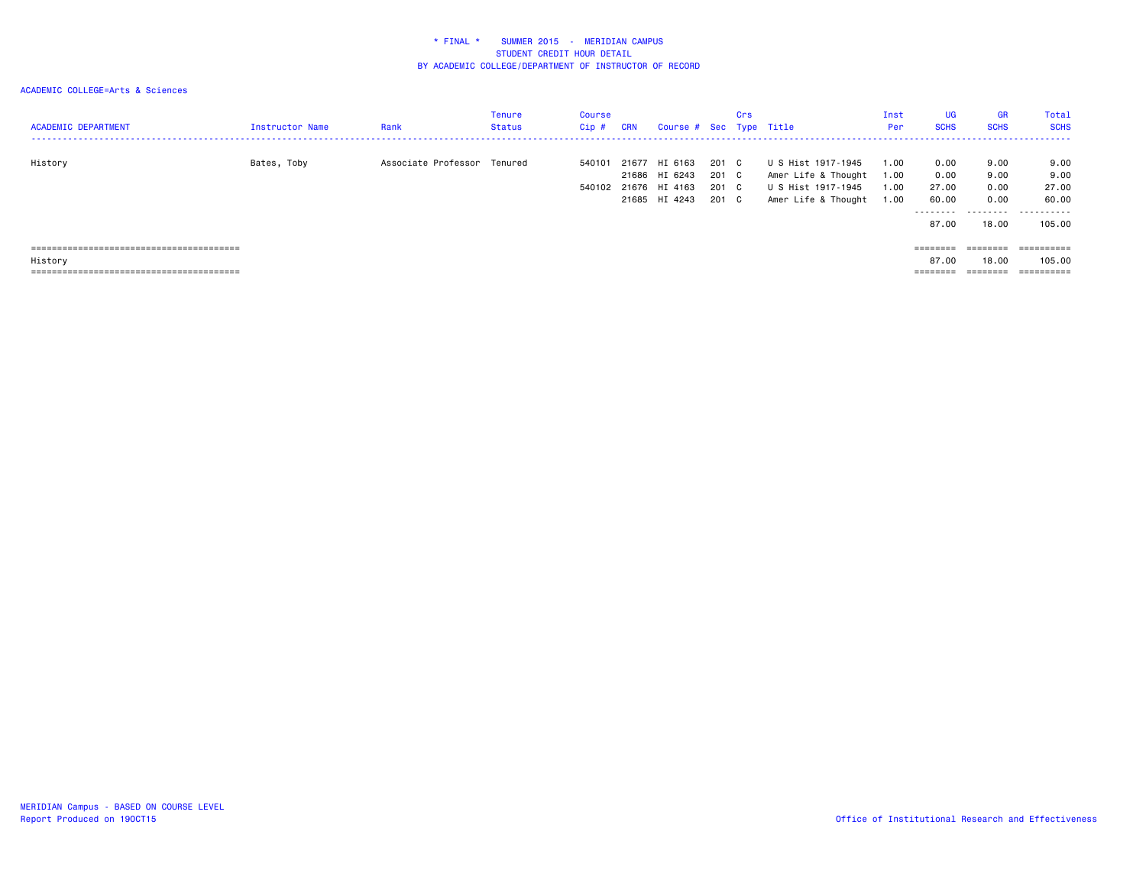| <b>ACADEMIC DEPARTMENT</b> | Instructor Name | Rank                        | Tenure<br>Status | Course<br>$Cip$ # | <b>CRN</b> | Course # Sec Type Title                                          |                                  | Crs |                                                                                        | Inst<br>Per                  | <b>UG</b><br><b>SCHS</b>                     | <b>GR</b><br><b>SCHS</b>              | Total<br><b>SCHS</b>                         |
|----------------------------|-----------------|-----------------------------|------------------|-------------------|------------|------------------------------------------------------------------|----------------------------------|-----|----------------------------------------------------------------------------------------|------------------------------|----------------------------------------------|---------------------------------------|----------------------------------------------|
| History                    | Bates, Toby     | Associate Professor Tenured |                  | 540101<br>540102  |            | 21677 HI 6163<br>21686 HI 6243<br>21676 HI 4163<br>21685 HI 4243 | 201 C<br>201 C<br>201 C<br>201 C |     | U S Hist 1917-1945<br>Amer Life & Thought<br>U S Hist 1917-1945<br>Amer Life & Thought | 1.00<br>1.00<br>1.00<br>1.00 | 0.00<br>0.00<br>27.00<br>60.00<br>.<br>87.00 | 9.00<br>9.00<br>0.00<br>0.00<br>18,00 | 9.00<br>9.00<br>27.00<br>60.00<br><br>105.00 |
| History                    |                 |                             |                  |                   |            |                                                                  |                                  |     |                                                                                        |                              | ========<br>87.00<br>========                | 18,00<br>--------<br>--------         | 105.00<br>----------<br>----------           |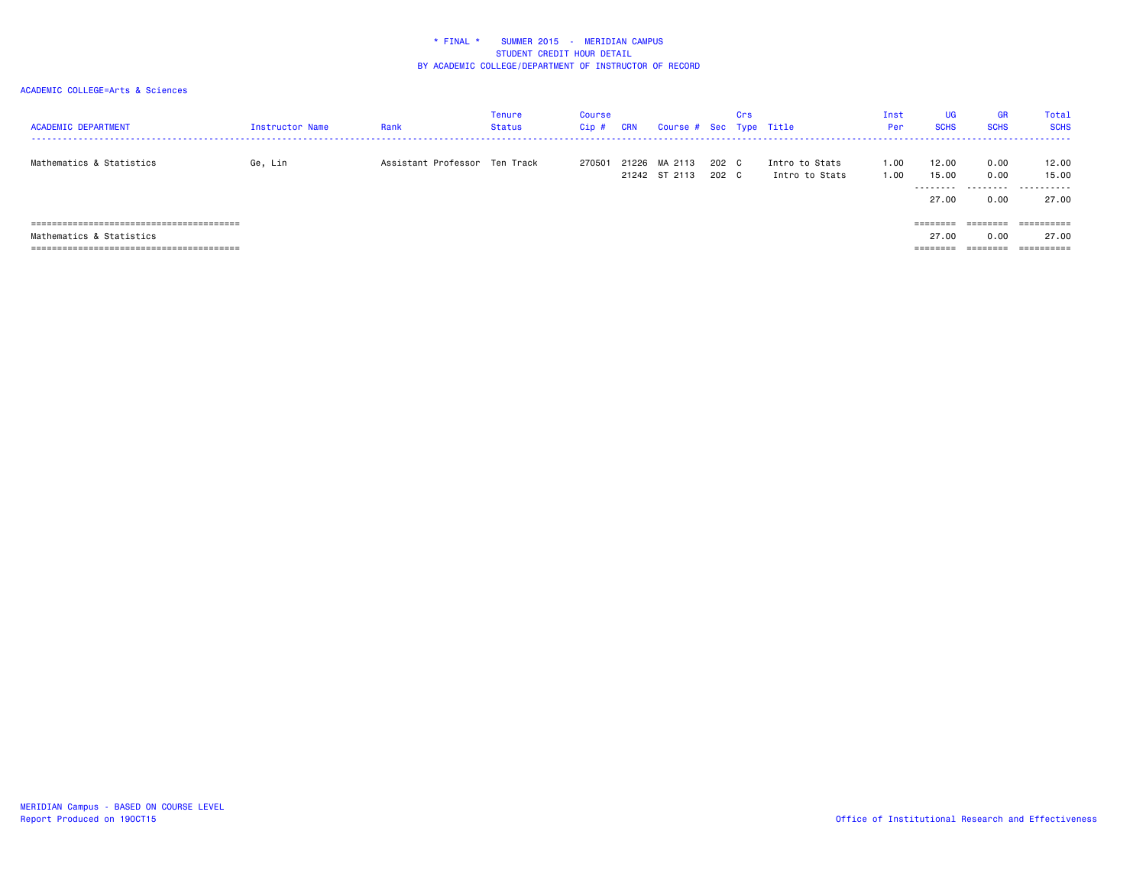| <b>ACADEMIC DEPARTMENT</b>                                                | Instructor Name | Rank                          | <b>Tenure</b><br>Status | Course<br>Cip# | <b>CRN</b> | Course # Sec Type Title        |                | Crs |                                  | Inst<br>Per  | UG<br><b>SCHS</b>           | <b>GR</b><br><b>SCHS</b> | Total<br><b>SCHS</b>         |
|---------------------------------------------------------------------------|-----------------|-------------------------------|-------------------------|----------------|------------|--------------------------------|----------------|-----|----------------------------------|--------------|-----------------------------|--------------------------|------------------------------|
| Mathematics & Statistics                                                  | Ge, Lin         | Assistant Professor Ten Track |                         | 270501         |            | 21226 MA 2113<br>21242 ST 2113 | 202 C<br>202 C |     | Intro to Stats<br>Intro to Stats | 1.00<br>1.00 | 12.00<br>15.00<br>--------- | 0.00<br>0.00<br>.        | 12.00<br>15.00<br>.          |
| =================<br>========================<br>Mathematics & Statistics |                 |                               |                         |                |            |                                |                |     |                                  |              | 27.00<br>========<br>27.00  | 0.00<br>0.00             | 27.00<br>==========<br>27.00 |
| =====================================                                     |                 |                               |                         |                |            |                                |                |     |                                  |              |                             |                          |                              |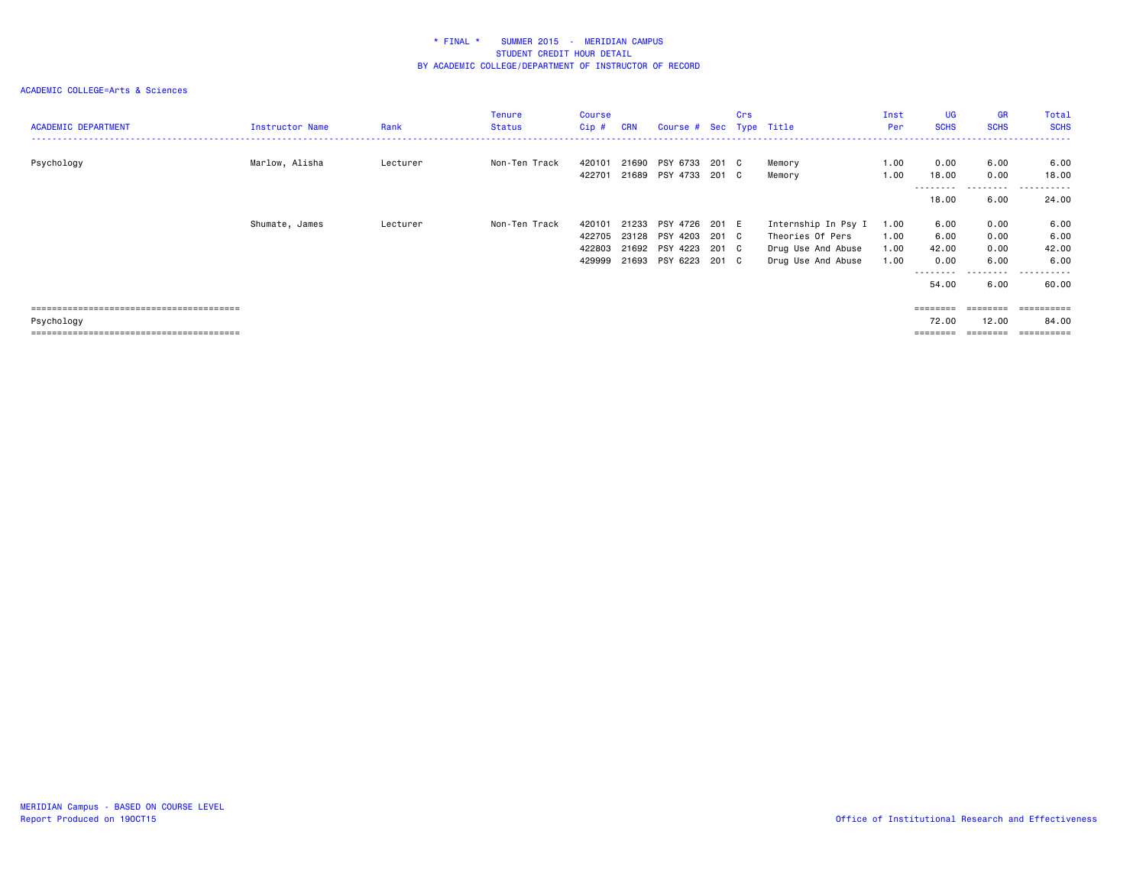### ACADEMIC COLLEGE=Arts & Sciences

| <b>ACADEMIC DEPARTMENT</b> | Instructor Name | Rank     | <b>Tenure</b><br><b>Status</b> | <b>Course</b><br>Cip# | <b>CRN</b> | Course # Sec Type Title                | Crs |                     | Inst<br>Per  | <b>UG</b><br><b>SCHS</b> | <b>GR</b><br><b>SCHS</b> | Total<br><b>SCHS</b> |
|----------------------------|-----------------|----------|--------------------------------|-----------------------|------------|----------------------------------------|-----|---------------------|--------------|--------------------------|--------------------------|----------------------|
|                            |                 |          |                                |                       |            |                                        |     |                     |              |                          |                          |                      |
| Psychology                 | Marlow, Alisha  | Lecturer | Non-Ten Track                  | 420101<br>422701      | 21690      | PSY 6733 201 C<br>21689 PSY 4733 201 C |     | Memory<br>Memory    | 1.00<br>1.00 | 0.00<br>18.00            | 6.00<br>0.00             | 6.00<br>18.00<br>.   |
|                            |                 |          |                                |                       |            |                                        |     |                     |              | ---------<br>18.00       | ---------<br>6.00        | 24.00                |
|                            | Shumate, James  | Lecturer | Non-Ten Track                  | 420101                |            | 21233 PSY 4726 201 E                   |     | Internship In Psy I | 1.00         | 6.00                     | 0.00                     | 6.00                 |
|                            |                 |          |                                | 422705                |            | 23128 PSY 4203 201 C                   |     | Theories Of Pers    | 1.00         | 6.00                     | 0.00                     | 6.00                 |
|                            |                 |          |                                | 422803                |            | 21692 PSY 4223 201 C                   |     | Drug Use And Abuse  | 1.00         | 42.00                    | 0.00                     | 42.00                |
|                            |                 |          |                                | 429999                |            | 21693 PSY 6223 201 C                   |     | Drug Use And Abuse  | 1.00         | 0.00                     | 6.00                     | 6.00                 |
|                            |                 |          |                                |                       |            |                                        |     |                     |              | ---------<br>54.00       | ---------<br>6.00        | .<br>60.00           |
|                            |                 |          |                                |                       |            |                                        |     |                     |              | ========                 |                          | ==========           |
| Psychology                 |                 |          |                                |                       |            |                                        |     |                     |              | 72.00                    | 12.00                    | 84.00                |

======================================== ======== ======== ==========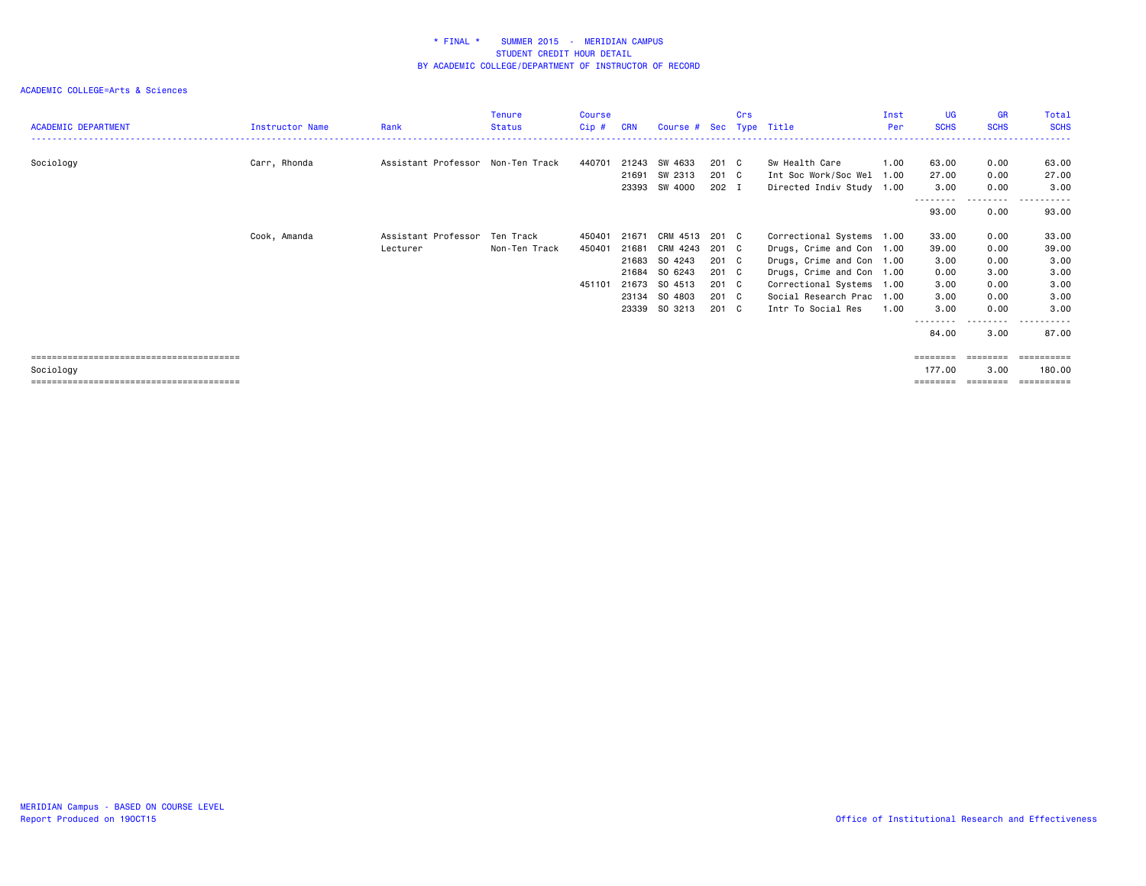### ACADEMIC COLLEGE=Arts & Sciences

| <b>ACADEMIC DEPARTMENT</b> | Instructor Name | Rank                              | Tenure<br><b>Status</b> | Course<br>Cip# | <b>CRN</b> | Course # Sec Type Title |       | Crs |                           | Inst<br>Per | <b>UG</b><br><b>SCHS</b> | <b>GR</b><br><b>SCHS</b> | Total<br><b>SCHS</b> |
|----------------------------|-----------------|-----------------------------------|-------------------------|----------------|------------|-------------------------|-------|-----|---------------------------|-------------|--------------------------|--------------------------|----------------------|
|                            |                 |                                   |                         |                |            |                         |       |     |                           |             |                          |                          |                      |
| Sociology                  | Carr, Rhonda    | Assistant Professor Non-Ten Track |                         | 440701         |            | 21243 SW 4633           | 201 C |     | Sw Health Care            | 1.00        | 63.00                    | 0.00                     | 63.00                |
|                            |                 |                                   |                         |                | 21691      | SW 2313                 | 201 C |     | Int Soc Work/Soc Wel      | 1.00        | 27.00                    | 0.00                     | 27.00                |
|                            |                 |                                   |                         |                |            | 23393 SW 4000           | 202 I |     | Directed Indiv Study 1.00 |             | 3.00                     | 0.00                     | 3.00                 |
|                            |                 |                                   |                         |                |            |                         |       |     |                           |             | 93.00                    | ---------<br>0.00        | ------<br>.<br>93.00 |
|                            | Cook, Amanda    | Assistant Professor Ten Track     |                         | 450401         |            | 21671 CRM 4513 201 C    |       |     | Correctional Systems 1.00 |             | 33.00                    | 0.00                     | 33.00                |
|                            |                 | Lecturer                          | Non-Ten Track           | 450401         | 21681      | CRM 4243                | 201 C |     | Drugs, Crime and Con 1.00 |             | 39.00                    | 0.00                     | 39.00                |
|                            |                 |                                   |                         |                |            | 21683 SO 4243           | 201 C |     | Drugs, Crime and Con 1.00 |             | 3.00                     | 0.00                     | 3.00                 |
|                            |                 |                                   |                         |                | 21684      | SO 6243                 | 201 C |     | Drugs, Crime and Con 1.00 |             | 0.00                     | 3.00                     | 3.00                 |
|                            |                 |                                   |                         | 451101         | 21673      | SO 4513                 | 201 C |     | Correctional Systems 1.00 |             | 3.00                     | 0.00                     | 3.00                 |
|                            |                 |                                   |                         |                |            | 23134 SO 4803           | 201 C |     | Social Research Prac 1.00 |             | 3.00                     | 0.00                     | 3.00                 |
|                            |                 |                                   |                         |                | 23339      | SO 3213                 | 201 C |     | Intr To Social Res        | 1.00        | 3.00                     | 0.00                     | 3.00                 |
|                            |                 |                                   |                         |                |            |                         |       |     |                           |             | --------<br>84.00        | ---------<br>3.00        | .<br>87.00           |
|                            |                 |                                   |                         |                |            |                         |       |     |                           |             |                          |                          |                      |
| Sociology                  |                 |                                   |                         |                |            |                         |       |     |                           |             | 177.00                   | 3.00                     | 180.00               |

======================================== ======== ======== ==========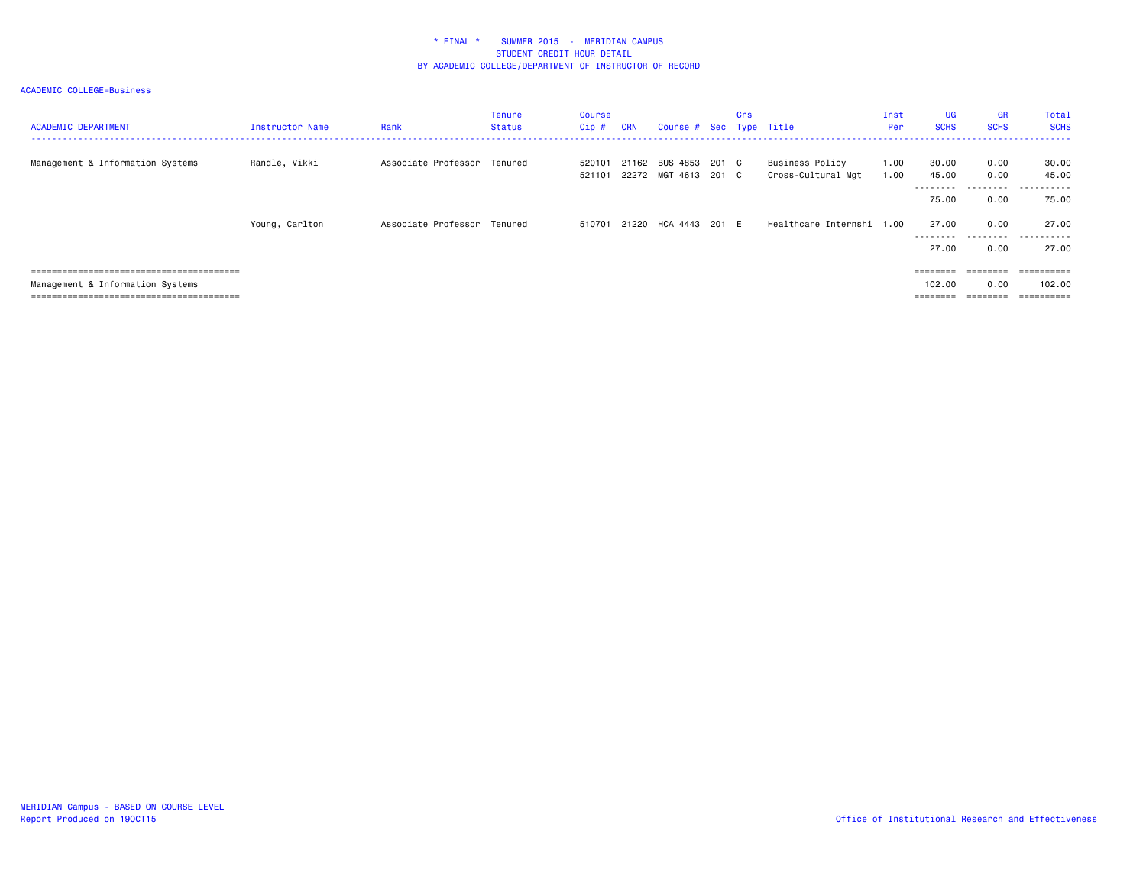| <b>ACADEMIC DEPARTMENT</b>       | Instructor Name | Rank                        | <b>Tenure</b><br><b>Status</b> | Course<br>Cip#   | <b>CRN</b> | Course # Sec Type Title                      | <b>Crs</b> |                                       | Inst<br>Per  | <b>UG</b><br><b>SCHS</b>   | <b>GR</b><br><b>SCHS</b> | Total<br><b>SCHS</b>             |
|----------------------------------|-----------------|-----------------------------|--------------------------------|------------------|------------|----------------------------------------------|------------|---------------------------------------|--------------|----------------------------|--------------------------|----------------------------------|
| Management & Information Systems | Randle, Vikki   | Associate Professor Tenured |                                | 520101<br>521101 |            | 21162 BUS 4853 201 C<br>22272 MGT 4613 201 C |            | Business Policy<br>Cross-Cultural Mgt | 1.00<br>1.00 | 30.00<br>45.00<br>-------- | 0.00<br>0.00<br>.        | 30.00<br>45.00<br>-------<br>--- |
|                                  |                 |                             |                                |                  |            |                                              |            |                                       |              | 75.00                      | 0.00                     | 75.00                            |
|                                  | Young, Carlton  | Associate Professor Tenured |                                | 510701           |            | 21220 HCA 4443 201 E                         |            | Healthcare Internshi 1.00             |              | 27.00<br>--------          | 0.00<br>.                | 27.00<br>----<br>. <b>.</b>      |
|                                  |                 |                             |                                |                  |            |                                              |            |                                       |              | 27.00                      | 0.00                     | 27.00                            |
|                                  |                 |                             |                                |                  |            |                                              |            |                                       |              | $=$ = = = = = = =          | ========                 | ==========                       |
| Management & Information Systems |                 |                             |                                |                  |            |                                              |            |                                       |              | 102.00                     | 0.00                     | 102.00                           |
|                                  |                 |                             |                                |                  |            |                                              |            |                                       |              | $=$ = = = = = = =          | eeeeeee                  | $=$ = = = = = = = = =            |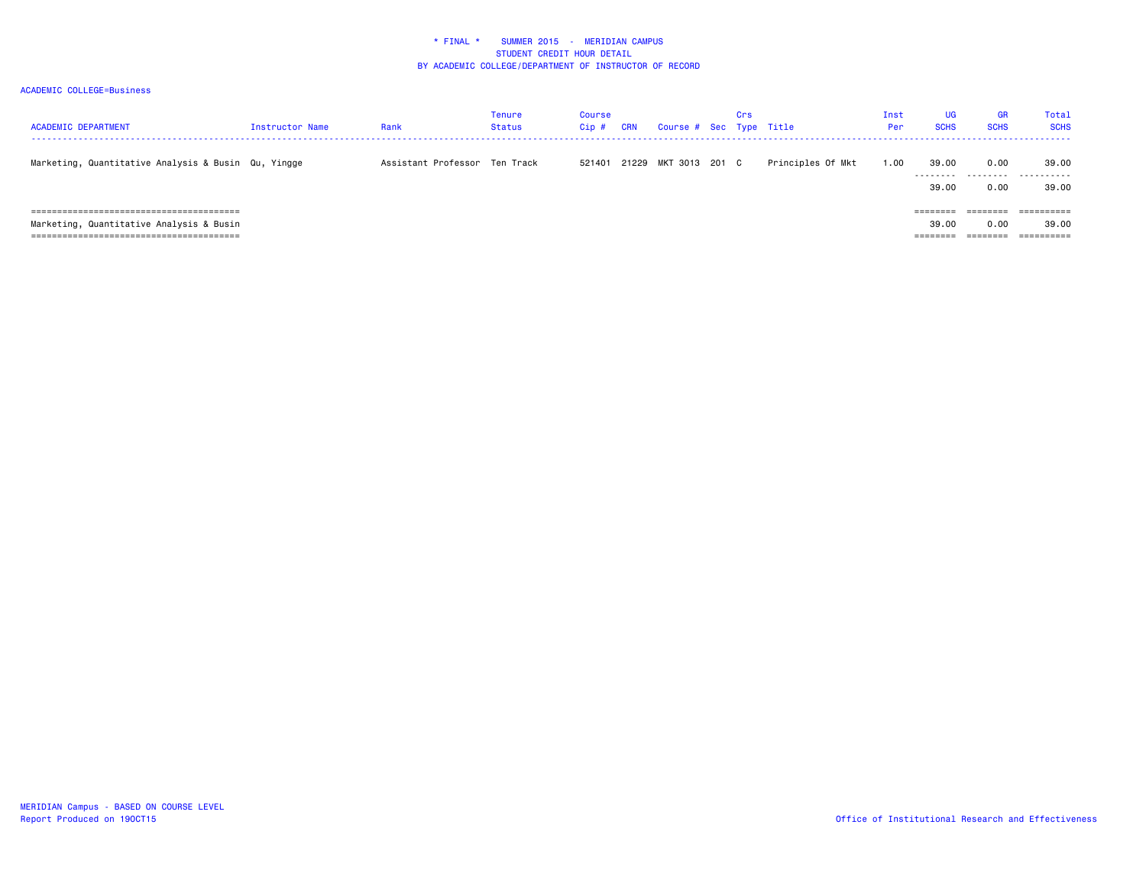| <b>ACADEMIC DEPARTMENT</b>                          | Instructor Name | Rank                          | Tenure<br><b>Status</b> | <b>Course</b><br>Cip# | <b>CRN</b> | Course # Sec Type Title | Crs |                   | Inst<br>Per | UG<br><b>SCHS</b>  | GR<br><b>SCHS</b> | Total<br><b>SCHS</b> |
|-----------------------------------------------------|-----------------|-------------------------------|-------------------------|-----------------------|------------|-------------------------|-----|-------------------|-------------|--------------------|-------------------|----------------------|
| Marketing, Quantitative Analysis & Busin Qu, Yingge |                 | Assistant Professor Ten Track |                         | 521401                |            | 21229 MKT 3013 201 C    |     | Principles Of Mkt | 1.00        | 39.00              | 0.00              | 39.00                |
|                                                     |                 |                               |                         |                       |            |                         |     |                   |             | ---------<br>39.00 | .<br>0.00         | .<br>39,00           |
|                                                     |                 |                               |                         |                       |            |                         |     |                   |             | ========           |                   |                      |
| Marketing, Quantitative Analysis & Busin            |                 |                               |                         |                       |            |                         |     |                   |             | 39.00              | 0.00              | 39,00                |
|                                                     |                 |                               |                         |                       |            |                         |     |                   |             | ========           | ========          | ==========           |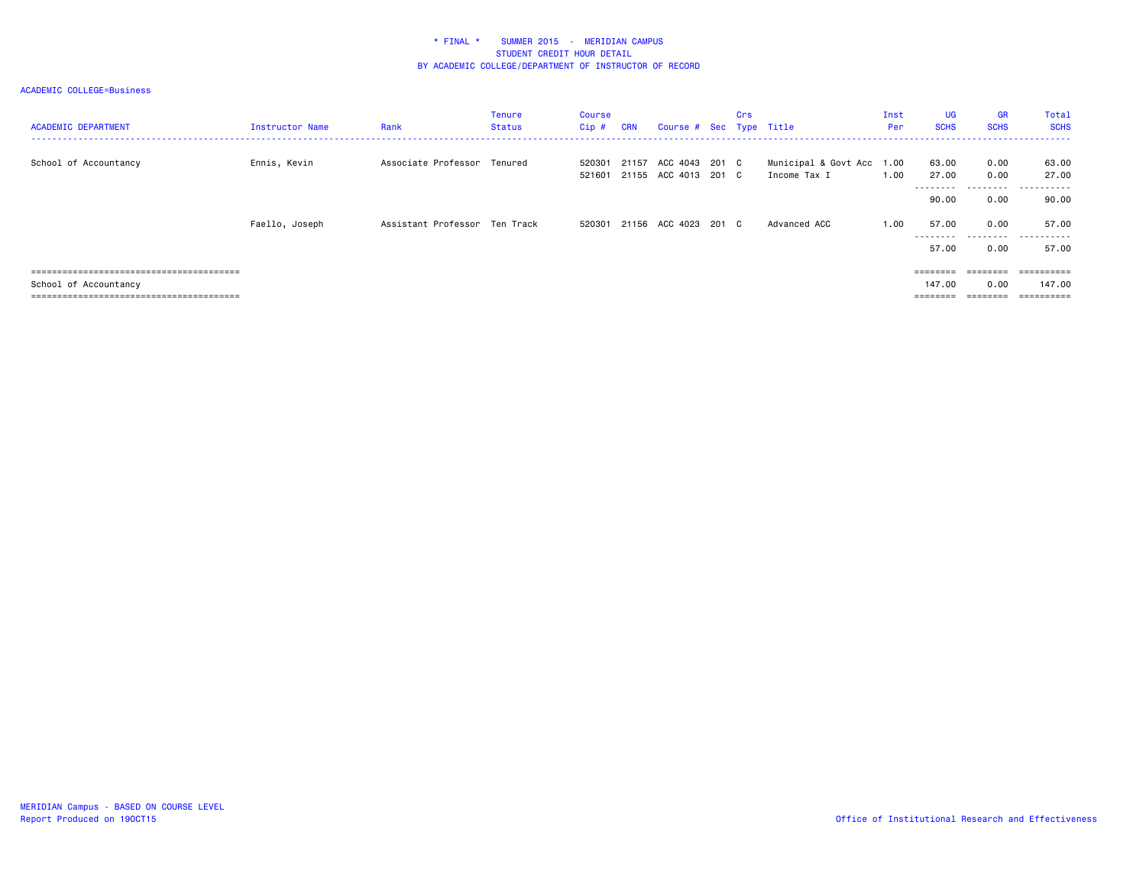| <b>ACADEMIC DEPARTMENT</b> | Instructor Name | Rank                          | <b>Tenure</b><br><b>Status</b> | Course<br>Cip#   | <b>CRN</b> | Course # Sec Type Title                      | Crs |                                           | Inst<br>Per | UG<br><b>SCHS</b>           | <b>GR</b><br><b>SCHS</b>                                                | Total<br><b>SCHS</b> |
|----------------------------|-----------------|-------------------------------|--------------------------------|------------------|------------|----------------------------------------------|-----|-------------------------------------------|-------------|-----------------------------|-------------------------------------------------------------------------|----------------------|
| School of Accountancy      | Ennis, Kevin    | Associate Professor Tenured   |                                | 520301<br>521601 |            | 21157 ACC 4043 201 C<br>21155 ACC 4013 201 C |     | Municipal & Govt Acc 1.00<br>Income Tax I | 1.00        | 63.00<br>27.00<br>--------- | 0.00<br>0.00                                                            | 63.00<br>27.00<br>   |
|                            |                 |                               |                                |                  |            |                                              |     |                                           |             | 90.00                       | 0.00                                                                    | 90.00                |
|                            | Faello, Joseph  | Assistant Professor Ten Track |                                | 520301           |            | 21156 ACC 4023 201 C                         |     | Advanced ACC                              | 1.00        | 57.00<br>---------          | 0.00<br>.                                                               | 57.00<br>.           |
|                            |                 |                               |                                |                  |            |                                              |     |                                           |             | 57.00                       | 0.00                                                                    | 57.00                |
|                            |                 |                               |                                |                  |            |                                              |     |                                           |             | $=$ = = = = = = =           | $\qquad \qquad \equiv \equiv \equiv \equiv \equiv \equiv \equiv \equiv$ |                      |
| School of Accountancy      |                 |                               |                                |                  |            |                                              |     |                                           |             | 147.00                      | 0.00                                                                    | 147.00               |
|                            |                 |                               |                                |                  |            |                                              |     |                                           |             | $=$ = = = = = = =           | eeeeeee                                                                 |                      |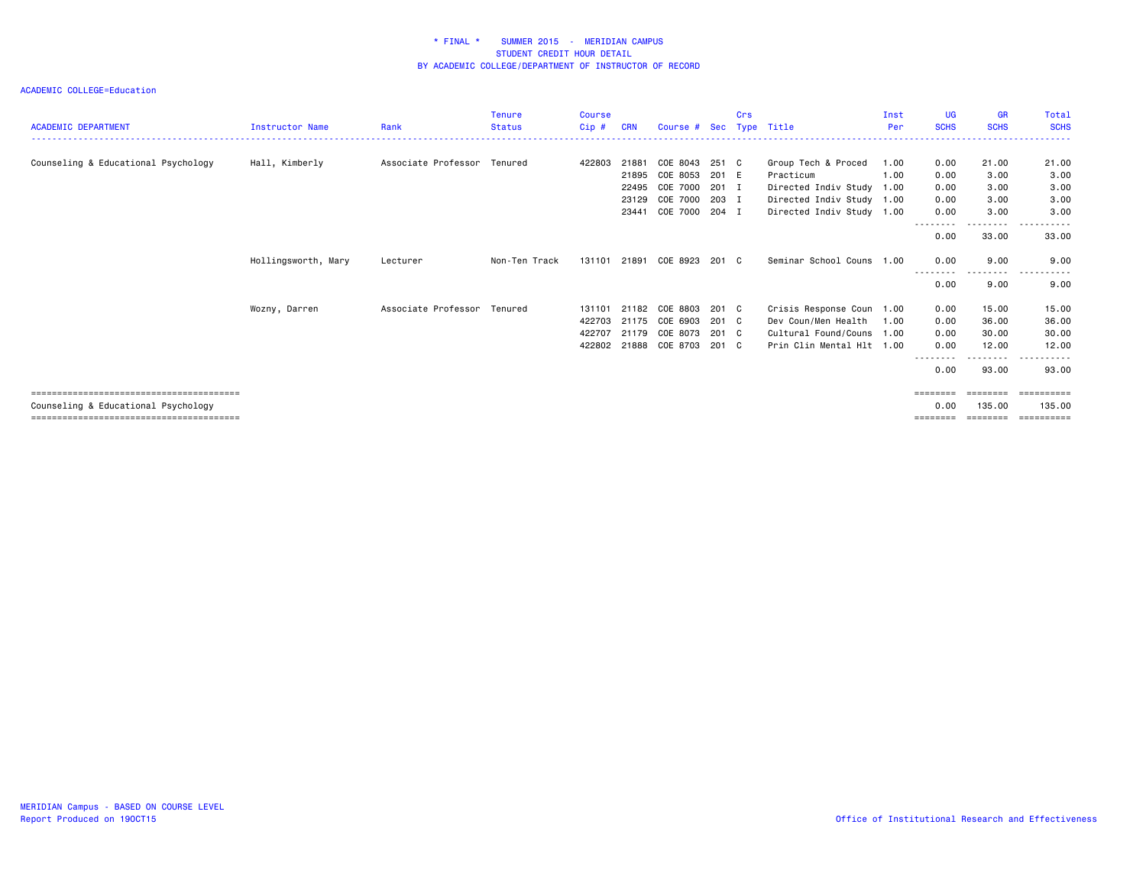|                                     |                        |                             | <b>Tenure</b> | Course |            |                      |       | Crs |                           | Inst | <b>UG</b>        | <b>GR</b>           | Total           |
|-------------------------------------|------------------------|-----------------------------|---------------|--------|------------|----------------------|-------|-----|---------------------------|------|------------------|---------------------|-----------------|
| <b>ACADEMIC DEPARTMENT</b>          | <b>Instructor Name</b> | Rank                        | <b>Status</b> | Cip#   | <b>CRN</b> | Course # Sec         |       |     | Tvpe Title                | Per  | <b>SCHS</b>      | <b>SCHS</b>         | <b>SCHS</b>     |
|                                     |                        |                             |               |        |            |                      |       |     |                           |      |                  |                     |                 |
| Counseling & Educational Psychology | Hall, Kimberly         | Associate Professor Tenured |               | 422803 | 21881      | COE 8043 251 C       |       |     | Group Tech & Proced       | 1.00 | 0.00             | 21.00               | 21.00           |
|                                     |                        |                             |               |        | 21895      | COE 8053             | 201 E |     | Practicum                 | 1.00 | 0.00             | 3.00                | 3.00            |
|                                     |                        |                             |               |        | 22495      | COE 7000 201 I       |       |     | Directed Indiv Study 1.00 |      | 0.00             | 3.00                | 3.00            |
|                                     |                        |                             |               |        | 23129      | COE 7000             | 203 I |     | Directed Indiv Study 1.00 |      | 0.00             | 3.00                | 3.00            |
|                                     |                        |                             |               |        |            | 23441 COE 7000 204 I |       |     | Directed Indiv Study 1.00 |      | 0.00             | 3.00                | 3.00            |
|                                     |                        |                             |               |        |            |                      |       |     |                           |      | --------<br>0.00 | . <b>.</b><br>33.00 | 33.00           |
|                                     | Hollingsworth, Mary    | Lecturer                    | Non-Ten Track | 131101 |            | 21891 COE 8923 201 C |       |     | Seminar School Couns 1.00 |      | 0.00             | 9.00                | 9.00            |
|                                     |                        |                             |               |        |            |                      |       |     |                           |      | 0.00             | .<br>9.00           | $- - -$<br>9.00 |
|                                     | Wozny, Darren          | Associate Professor Tenured |               | 131101 | 21182      | COE 8803             | 201 C |     | Crisis Response Coun 1.00 |      | 0.00             | 15.00               | 15.00           |
|                                     |                        |                             |               | 422703 |            | 21175 COE 6903       | 201 C |     | Dev Coun/Men Health       | 1.00 | 0.00             | 36.00               | 36.00           |
|                                     |                        |                             |               | 422707 |            | 21179 COE 8073       | 201 C |     | Cultural Found/Couns 1.00 |      | 0.00             | 30.00               | 30.00           |
|                                     |                        |                             |               | 422802 |            | 21888 COE 8703 201 C |       |     | Prin Clin Mental Hlt 1.00 |      | 0.00             | 12.00               | 12.00           |
|                                     |                        |                             |               |        |            |                      |       |     |                           |      | --------<br>0.00 | .<br>93.00          | .<br>93.00      |
|                                     |                        |                             |               |        |            |                      |       |     |                           |      |                  |                     | ==========      |
| Counseling & Educational Psychology |                        |                             |               |        |            |                      |       |     |                           |      | 0.00             | 135,00              | 135.00          |
|                                     |                        |                             |               |        |            |                      |       |     |                           |      | ========         | ========            | -----------     |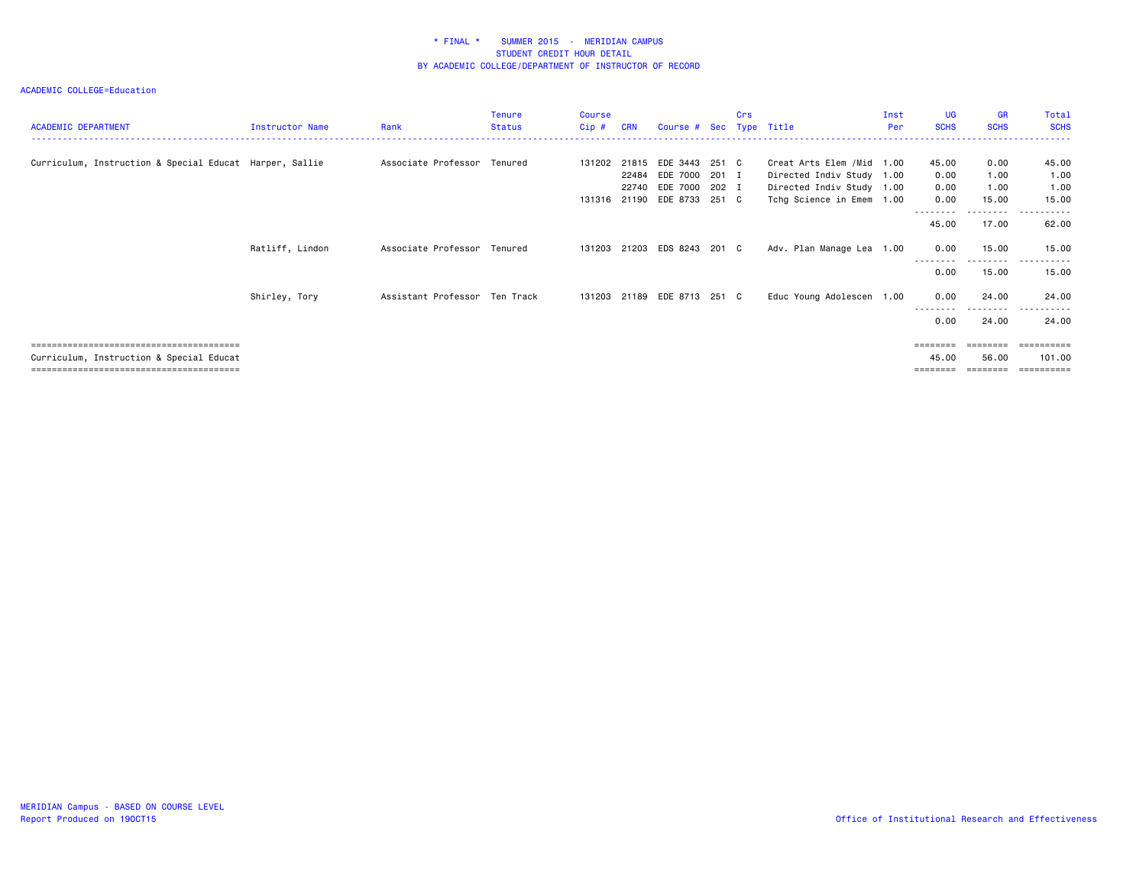| <b>ACADEMIC DEPARTMENT</b>                              | Instructor Name | Rank                          | Tenure<br><b>Status</b> | Course<br>Cip# | <b>CRN</b> | Course # Sec Type Title     |       | Crs |                           | Inst<br>Per | UG<br><b>SCHS</b> | <b>GR</b><br><b>SCHS</b> | Total<br><b>SCHS</b>       |
|---------------------------------------------------------|-----------------|-------------------------------|-------------------------|----------------|------------|-----------------------------|-------|-----|---------------------------|-------------|-------------------|--------------------------|----------------------------|
|                                                         |                 |                               |                         |                |            |                             |       |     |                           |             |                   |                          |                            |
| Curriculum, Instruction & Special Educat Harper, Sallie |                 | Associate Professor Tenured   |                         | 131202         |            | 21815 EDE 3443              | 251 C |     | Creat Arts Elem /Mid 1.00 |             | 45.00             | 0.00                     | 45.00                      |
|                                                         |                 |                               |                         |                | 22484      | EDE 7000                    | 201 I |     | Directed Indiv Study 1.00 |             | 0.00              | 1.00                     | 1.00                       |
|                                                         |                 |                               |                         |                |            | 22740 EDE 7000 202 I        |       |     | Directed Indiv Study 1.00 |             | 0.00              | 1.00                     | 1.00                       |
|                                                         |                 |                               |                         | 131316         |            | 21190 EDE 8733 251 C        |       |     | Tchg Science in Emem 1.00 |             | 0.00              | 15.00                    | 15.00                      |
|                                                         |                 |                               |                         |                |            |                             |       |     |                           |             | 45.00             | 17.00                    | 62.00                      |
|                                                         | Ratliff, Lindon | Associate Professor Tenured   |                         | 131203         |            | 21203 EDS 8243 201 C        |       |     | Adv. Plan Manage Lea 1.00 |             | 0.00              | 15.00<br>---------       | 15.00<br>.<br>. <u>.</u> . |
|                                                         |                 |                               |                         |                |            |                             |       |     |                           |             | 0.00              | 15.00                    | 15.00                      |
|                                                         | Shirley, Tory   | Assistant Professor Ten Track |                         |                |            | 131203 21189 EDE 8713 251 C |       |     | Educ Young Adolescen 1.00 |             | 0.00              | 24,00                    | 24.00                      |
|                                                         |                 |                               |                         |                |            |                             |       |     |                           |             | 0.00              | 24.00                    | 24.00                      |
|                                                         |                 |                               |                         |                |            |                             |       |     |                           |             |                   |                          | ==========                 |
| Curriculum, Instruction & Special Educat                |                 |                               |                         |                |            |                             |       |     |                           |             | 45.00             | 56.00                    | 101.00                     |
|                                                         |                 |                               |                         |                |            |                             |       |     |                           |             |                   |                          | eeeeeeee                   |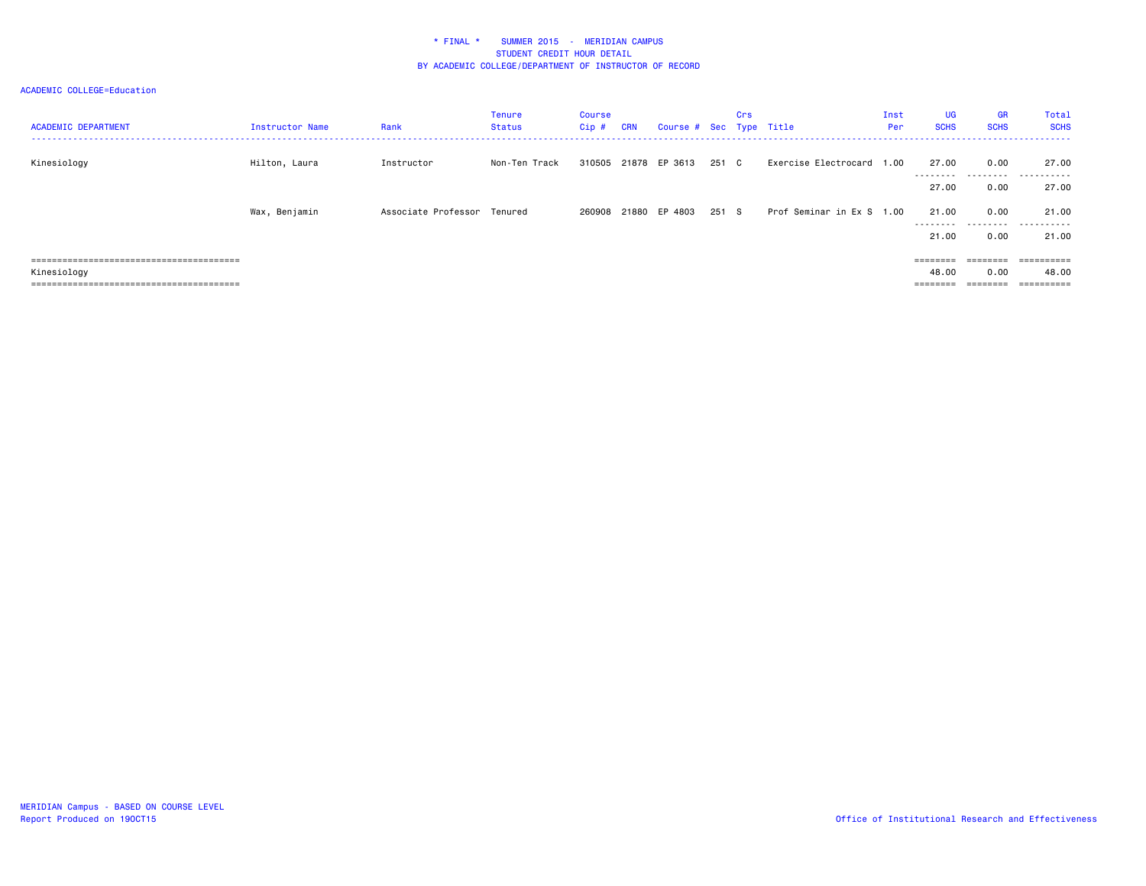| <b>ACADEMIC DEPARTMENT</b> | Instructor Name | Rank                        | Tenure<br>Status | Course<br>Cip# | <b>CRN</b> | Course # Sec Type Title |       | Crs |                           | Inst<br>Per | <b>UG</b><br><b>SCHS</b> | <b>GR</b><br><b>SCHS</b> | Total<br><b>SCHS</b> |
|----------------------------|-----------------|-----------------------------|------------------|----------------|------------|-------------------------|-------|-----|---------------------------|-------------|--------------------------|--------------------------|----------------------|
| Kinesiology                | Hilton, Laura   | Instructor                  | Non-Ten Track    |                |            | 310505 21878 EP 3613    | 251 C |     | Exercise Electrocard 1.00 |             | 27.00<br>---------       | 0.00                     | 27.00<br>            |
|                            |                 |                             |                  |                |            |                         |       |     |                           |             | 27.00                    | 0.00                     | 27.00                |
|                            | Wax, Benjamin   | Associate Professor Tenured |                  |                |            | 260908 21880 EP 4803    | 251 S |     | Prof Seminar in Ex S 1.00 |             | 21.00<br>---------       | 0.00<br>.                | 21.00<br>.           |
|                            |                 |                             |                  |                |            |                         |       |     |                           |             | 21.00                    | 0.00                     | 21.00                |
|                            |                 |                             |                  |                |            |                         |       |     |                           |             | ========                 | ========                 | ==========           |
| Kinesiology                |                 |                             |                  |                |            |                         |       |     |                           |             | 48.00                    | 0.00                     | 48.00                |
| ===================        |                 |                             |                  |                |            |                         |       |     |                           |             |                          |                          |                      |